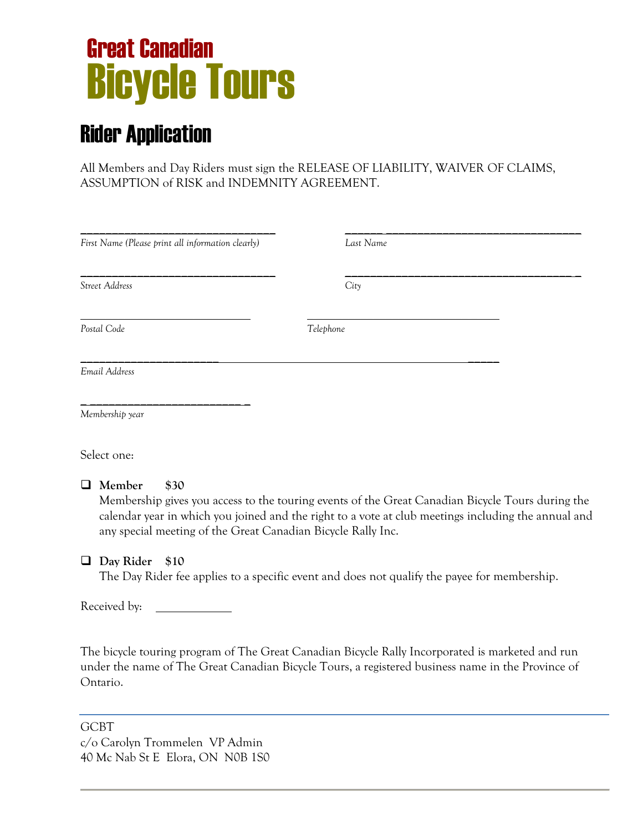# Bicycle Tours Great Canadian

# Rider Application

All Members and Day Riders must sign the RELEASE OF LIABILITY, WAIVER OF CLAIMS, ASSUMPTION of RISK and INDEMNITY AGREEMENT.

| First Name (Please print all information clearly) | Last Name |
|---------------------------------------------------|-----------|
|                                                   |           |
| Street Address                                    | City      |
| Postal Code                                       | Telephone |
| Email Address                                     |           |
| Membership year                                   |           |

Select one:

**Member \$30**

Membership gives you access to the touring events of the Great Canadian Bicycle Tours during the calendar year in which you joined and the right to a vote at club meetings including the annual and any special meeting of the Great Canadian Bicycle Rally Inc.

# **Day Rider \$10**

The Day Rider fee applies to a specific event and does not qualify the payee for membership.

Received by:

The bicycle touring program of The Great Canadian Bicycle Rally Incorporated is marketed and run under the name of The Great Canadian Bicycle Tours, a registered business name in the Province of Ontario.

GCBT c/o Carolyn Trommelen VP Admin 40 Mc Nab St E Elora, ON N0B 1S0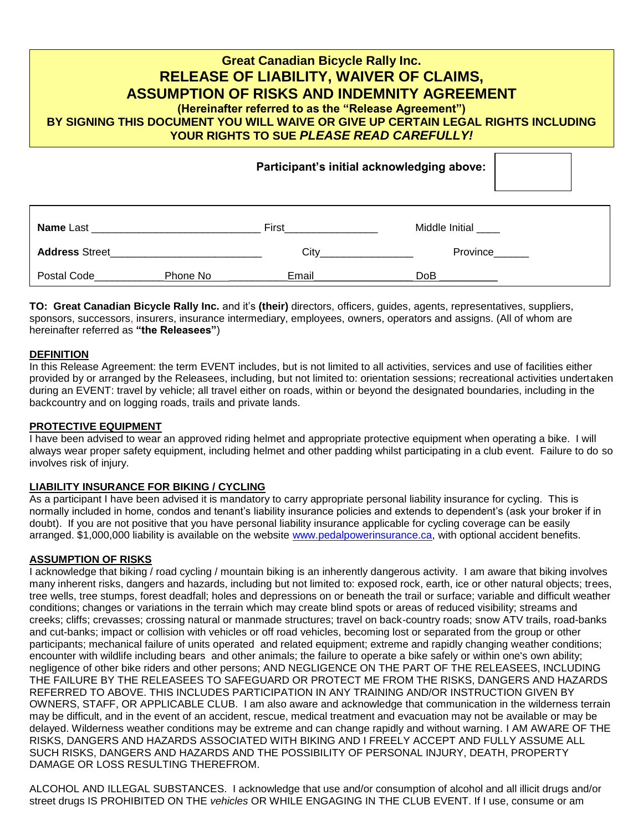# **Great Canadian Bicycle Rally Inc. RELEASE OF LIABILITY, WAIVER OF CLAIMS, ASSUMPTION OF RISKS AND INDEMNITY AGREEMENT (Hereinafter referred to as the "Release Agreement") BY SIGNING THIS DOCUMENT YOU WILL WAIVE OR GIVE UP CERTAIN LEGAL RIGHTS INCLUDING YOUR RIGHTS TO SUE** *PLEASE READ CAREFULLY!*

|                       |          |                                                                                                                                                                                                                                    | <u>. </u>      |
|-----------------------|----------|------------------------------------------------------------------------------------------------------------------------------------------------------------------------------------------------------------------------------------|----------------|
| Name Last             |          | <b>First Executive Structure 10 and 10 and 10 and 10 and 10 and 10 and 10 and 10 and 10 and 10 and 10 and 10 and 10 and 10 and 10 and 10 and 10 and 10 and 10 and 10 and 10 and 10 and 10 and 10 and 10 and 10 and 10 and 10 a</b> | Middle Initial |
| <b>Address Street</b> |          | City<br>$\frac{1}{2} \left( \frac{1}{2} \right)^2 \left( \frac{1}{2} \right)^2 \left( \frac{1}{2} \right)^2 \left( \frac{1}{2} \right)^2$                                                                                          | Province______ |
| Postal Code           | Phone No | Email                                                                                                                                                                                                                              | DoB            |

**Participant's initial acknowledging above:**

**TO: Great Canadian Bicycle Rally Inc.** and it's **(their)** directors, officers, guides, agents, representatives, suppliers, sponsors, successors, insurers, insurance intermediary, employees, owners, operators and assigns. (All of whom are hereinafter referred as **"the Releasees"**)

#### **DEFINITION**

In this Release Agreement: the term EVENT includes, but is not limited to all activities, services and use of facilities either provided by or arranged by the Releasees, including, but not limited to: orientation sessions; recreational activities undertaken during an EVENT: travel by vehicle; all travel either on roads, within or beyond the designated boundaries, including in the backcountry and on logging roads, trails and private lands.

#### **PROTECTIVE EQUIPMENT**

I have been advised to wear an approved riding helmet and appropriate protective equipment when operating a bike. I will always wear proper safety equipment, including helmet and other padding whilst participating in a club event. Failure to do so involves risk of injury.

#### **LIABILITY INSURANCE FOR BIKING / CYCLING**

As a participant I have been advised it is mandatory to carry appropriate personal liability insurance for cycling. This is normally included in home, condos and tenant's liability insurance policies and extends to dependent's (ask your broker if in doubt). If you are not positive that you have personal liability insurance applicable for cycling coverage can be easily arranged. \$1,000,000 liability is available on the website [www.pedalpowerinsurance.ca,](http://www.pedalpowerinsurance.ca/) with optional accident benefits.

#### **ASSUMPTION OF RISKS**

I acknowledge that biking / road cycling / mountain biking is an inherently dangerous activity. I am aware that biking involves many inherent risks, dangers and hazards, including but not limited to: exposed rock, earth, ice or other natural objects; trees, tree wells, tree stumps, forest deadfall; holes and depressions on or beneath the trail or surface; variable and difficult weather conditions; changes or variations in the terrain which may create blind spots or areas of reduced visibility; streams and creeks; cliffs; crevasses; crossing natural or manmade structures; travel on back-country roads; snow ATV trails, road-banks and cut-banks; impact or collision with vehicles or off road vehicles, becoming lost or separated from the group or other participants; mechanical failure of units operated and related equipment; extreme and rapidly changing weather conditions; encounter with wildlife including bears and other animals; the failure to operate a bike safely or within one's own ability; negligence of other bike riders and other persons; AND NEGLIGENCE ON THE PART OF THE RELEASEES, INCLUDING THE FAILURE BY THE RELEASEES TO SAFEGUARD OR PROTECT ME FROM THE RISKS, DANGERS AND HAZARDS REFERRED TO ABOVE. THIS INCLUDES PARTICIPATION IN ANY TRAINING AND/OR INSTRUCTION GIVEN BY OWNERS, STAFF, OR APPLICABLE CLUB. I am also aware and acknowledge that communication in the wilderness terrain may be difficult, and in the event of an accident, rescue, medical treatment and evacuation may not be available or may be delayed. Wilderness weather conditions may be extreme and can change rapidly and without warning. I AM AWARE OF THE RISKS, DANGERS AND HAZARDS ASSOCIATED WITH BIKING AND I FREELY ACCEPT AND FULLY ASSUME ALL SUCH RISKS, DANGERS AND HAZARDS AND THE POSSIBILITY OF PERSONAL INJURY, DEATH, PROPERTY DAMAGE OR LOSS RESULTING THEREFROM.

ALCOHOL AND ILLEGAL SUBSTANCES. I acknowledge that use and/or consumption of alcohol and all illicit drugs and/or street drugs IS PROHIBITED ON THE *vehicles* OR WHILE ENGAGING IN THE CLUB EVENT. If I use, consume or am